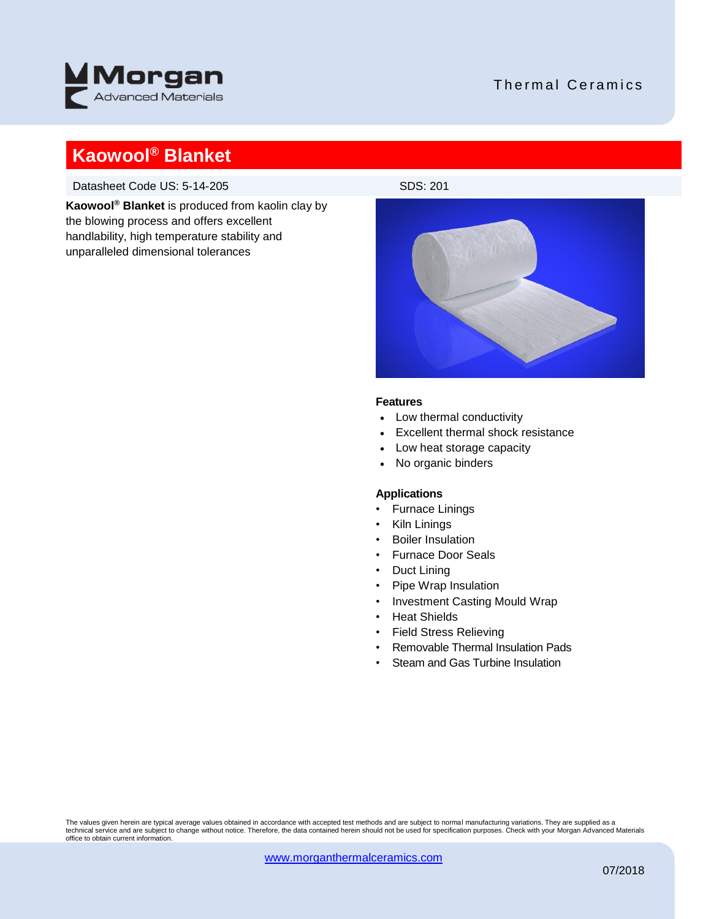

### Thermal Ceramics

## **Kaowool® Blanket**

Datasheet Code US: 5-14-205

**Kaowool® Blanket** is produced from kaolin clay by the blowing process and offers excellent handlability, high temperature stability and unparalleled dimensional tolerances



#### **Features**

- Low thermal conductivity
- Excellent thermal shock resistance
- Low heat storage capacity
- No organic binders

### **Applications**

- Furnace Linings
- Kiln Linings
- Boiler Insulation
- Furnace Door Seals
- Duct Lining
- Pipe Wrap Insulation
- Investment Casting Mould Wrap
- Heat Shields
- Field Stress Relieving
- Removable Thermal Insulation Pads
- Steam and Gas Turbine Insulation

The values given herein are typical average values obtained in accordance with accepted test methods and are subject to normal manufacturing variations. They are supplied as a<br>technical service and are subject to change wi office to obtain current information.